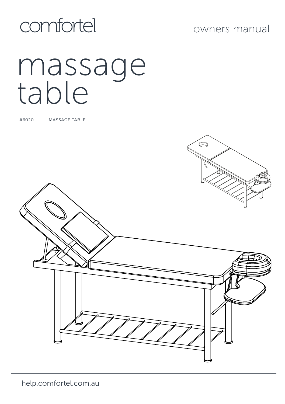

# massage table

#6020 MASSAGE TABLE

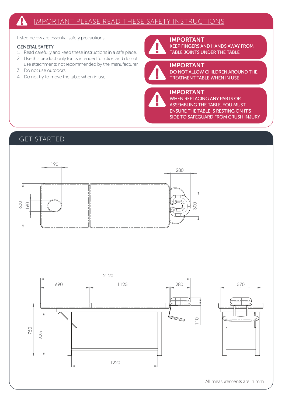#### $\blacktriangle$ IMPORTANT PLEASE READ THESE SAFETY INSTRUCTIONS

Listed below are essential safety precautions.

#### GENERAL SAFETY

- 1. Read carefully and keep these instructions in a safe place.
- 2. Use this product only for its intended function and do not use attachments not recommended by the manufacturer.
- 3. Do not use outdoors.
- 4. Do not try to move the table when in use.



IMPORTANT KEEP FINGERS AND HANDS AWAY FROM TABLE JOINTS UNDER THE TABLE

DO NOT ALLOW CHILDREN AROUND THE TREATMENT TABLE WHEN IN USE



# IMPORTANT

IMPORTANT



WHEN REPLACING ANY PARTS OR ASSEMBLING THE TABLE, YOU MUST ENSURE THE TABLE IS RESTING ON IT'S SIDE TO SAFEGUARD FROM CRUSH INJURY

# GET STARTED



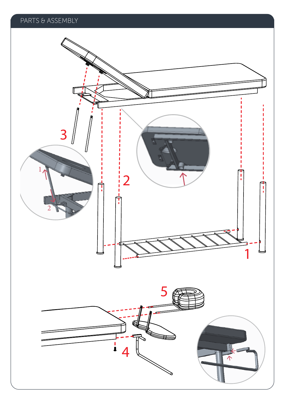# PARTS & ASSEMBLY